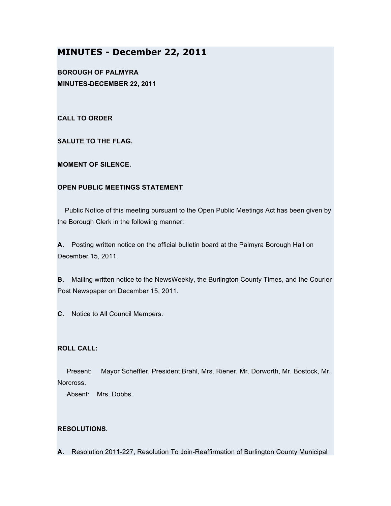# **MINUTES - December 22, 2011**

**BOROUGH OF PALMYRA MINUTES-DECEMBER 22, 2011**

**CALL TO ORDER**

**SALUTE TO THE FLAG.**

**MOMENT OF SILENCE.**

### **OPEN PUBLIC MEETINGS STATEMENT**

Public Notice of this meeting pursuant to the Open Public Meetings Act has been given by the Borough Clerk in the following manner:

**A.** Posting written notice on the official bulletin board at the Palmyra Borough Hall on December 15, 2011.

**B.** Mailing written notice to the NewsWeekly, the Burlington County Times, and the Courier Post Newspaper on December 15, 2011.

**C.** Notice to All Council Members.

# **ROLL CALL:**

Present: Mayor Scheffler, President Brahl, Mrs. Riener, Mr. Dorworth, Mr. Bostock, Mr. Norcross.

Absent: Mrs. Dobbs.

# **RESOLUTIONS.**

**A.** Resolution 2011-227, Resolution To Join-Reaffirmation of Burlington County Municipal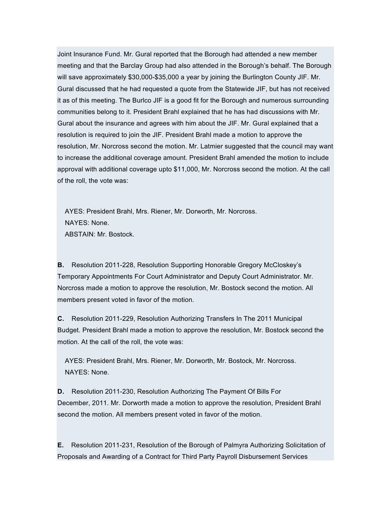Joint Insurance Fund. Mr. Gural reported that the Borough had attended a new member meeting and that the Barclay Group had also attended in the Borough's behalf. The Borough will save approximately \$30,000-\$35,000 a year by joining the Burlington County JIF. Mr. Gural discussed that he had requested a quote from the Statewide JIF, but has not received it as of this meeting. The Burlco JIF is a good fit for the Borough and numerous surrounding communities belong to it. President Brahl explained that he has had discussions with Mr. Gural about the insurance and agrees with him about the JIF. Mr. Gural explained that a resolution is required to join the JIF. President Brahl made a motion to approve the resolution, Mr. Norcross second the motion. Mr. Latmier suggested that the council may want to increase the additional coverage amount. President Brahl amended the motion to include approval with additional coverage upto \$11,000, Mr. Norcross second the motion. At the call of the roll, the vote was:

AYES: President Brahl, Mrs. Riener, Mr. Dorworth, Mr. Norcross. NAYES: None. ABSTAIN: Mr. Bostock.

**B.** Resolution 2011-228, Resolution Supporting Honorable Gregory McCloskey's Temporary Appointments For Court Administrator and Deputy Court Administrator. Mr. Norcross made a motion to approve the resolution, Mr. Bostock second the motion. All members present voted in favor of the motion.

**C.** Resolution 2011-229, Resolution Authorizing Transfers In The 2011 Municipal Budget. President Brahl made a motion to approve the resolution, Mr. Bostock second the motion. At the call of the roll, the vote was:

AYES: President Brahl, Mrs. Riener, Mr. Dorworth, Mr. Bostock, Mr. Norcross. NAYES: None.

**D.** Resolution 2011-230, Resolution Authorizing The Payment Of Bills For December, 2011. Mr. Dorworth made a motion to approve the resolution, President Brahl second the motion. All members present voted in favor of the motion.

**E.** Resolution 2011-231, Resolution of the Borough of Palmyra Authorizing Solicitation of Proposals and Awarding of a Contract for Third Party Payroll Disbursement Services